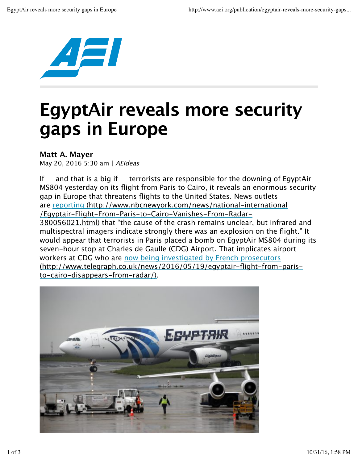

## **EgyptAir reveals more security gaps in Europe**

## **Matt A. Mayer**

May 20, 2016 5:30 am | AEIdeas

If  $-$  and that is a big if  $-$  terrorists are responsible for the downing of EgyptAir MS804 yesterday on its flight from Paris to Cairo, it reveals an enormous security gap in Europe that threatens flights to the United States. News outlets are reporting (http://www.nbcnewyork.com/news/national-international /Egyptair-Flight-From-Paris-to-Cairo-Vanishes-From-Radar-380056021.html) that "the cause of the crash remains unclear, but infrared and multispectral imagers indicate strongly there was an explosion on the flight." It would appear that terrorists in Paris placed a bomb on EgyptAir MS804 during its seven-hour stop at Charles de Gaulle (CDG) Airport. That implicates airport workers at CDG who are now being investigated by French prosecutors (http://www.telegraph.co.uk/news/2016/05/19/egyptair-flight-from-paristo-cairo-disappears-from-radar/).

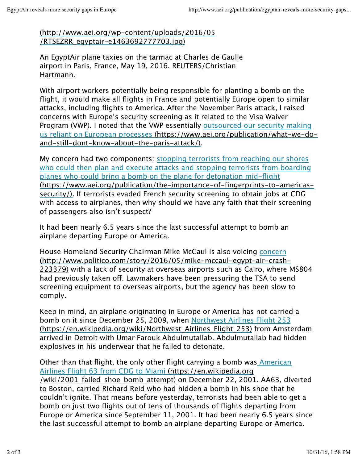(http://www.aei.org/wp-content/uploads/2016/05 /RTSEZRR\_egyptair-e1463692777703.jpg)

An EgyptAir plane taxies on the tarmac at Charles de Gaulle airport in Paris, France, May 19, 2016. REUTERS/Christian Hartmann.

With airport workers potentially being responsible for planting a bomb on the flight, it would make all flights in France and potentially Europe open to similar attacks, including flights to America. After the November Paris attack, I raised concerns with Europe's security screening as it related to the Visa Waiver Program (VWP). I noted that the VWP essentially outsourced our security making us reliant on European processes (https://www.aei.org/publication/what-we-doand-still-dont-know-about-the-paris-attack/).

My concern had two components: stopping terrorists from reaching our shores who could then plan and execute attacks and stopping terrorists from boarding planes who could bring a bomb on the plane for detonation mid-flight (https://www.aei.org/publication/the-importance-of-fingerprints-to-americassecurity/). If terrorists evaded French security screening to obtain jobs at CDG with access to airplanes, then why should we have any faith that their screening of passengers also isn't suspect?

It had been nearly 6.5 years since the last successful attempt to bomb an airplane departing Europe or America.

House Homeland Security Chairman Mike McCaul is also voicing concern (http://www.politico.com/story/2016/05/mike-mccaul-egypt-air-crash-223379) with a lack of security at overseas airports such as Cairo, where MS804 had previously taken off. Lawmakers have been pressuring the TSA to send screening equipment to overseas airports, but the agency has been slow to comply.

Keep in mind, an airplane originating in Europe or America has not carried a bomb on it since December 25, 2009, when Northwest Airlines Flight 253 (https://en.wikipedia.org/wiki/Northwest\_Airlines\_Flight\_253) from Amsterdam arrived in Detroit with Umar Farouk Abdulmutallab. Abdulmutallab had hidden explosives in his underwear that he failed to detonate.

Other than that flight, the only other flight carrying a bomb was American Airlines Flight 63 from CDG to Miami (https://en.wikipedia.org /wiki/2001 failed shoe bomb attempt) on December 22, 2001. AA63, diverted to Boston, carried Richard Reid who had hidden a bomb in his shoe that he couldn't ignite. That means before yesterday, terrorists had been able to get a bomb on just two flights out of tens of thousands of flights departing from Europe or America since September 11, 2001. It had been nearly 6.5 years since the last successful attempt to bomb an airplane departing Europe or America.